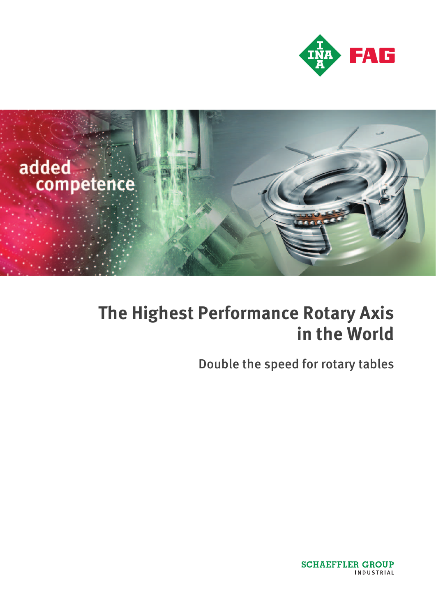



# **The Highest Performance Rotary Axis in the World**

Double the speed for rotary tables

**SCHAEFFLER GROUP INDUSTRIAL**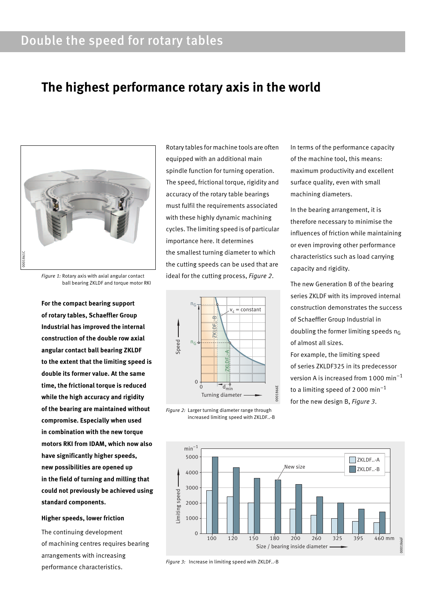# Double the speed for rotary tables

# **The highest performance rotary axis in the world**



*Figure 1:* Rotary axis with axial angular contact ball bearing ZKLDF and torque motor RKI

**For the compact bearing support of rotary tables, Schaeffler Group Industrial has improved the internal construction of the double row axial angular contact ball bearing ZKLDF to the extent that the limiting speed is double its former value. At the same time, the frictional torque is reduced while the high accuracy and rigidity of the bearing are maintained without compromise. Especially when used in combination with the new torque motors RKI from IDAM, which now also have significantly higher speeds, new possibilities are opened up in the field of turning and milling that could not previously be achieved using standard components.**

### **Higher speeds, lower friction**

The continuing development of machining centres requires bearing arrangements with increasing performance characteristics.

Rotary tables for machine tools are often equipped with an additional main spindle function for turning operation. The speed, frictional torque, rigidity and accuracy of the rotary table bearings must fulfil the requirements associated with these highly dynamic machining cycles. The limiting speed is of particular importance here. It determines the smallest turning diameter to which the cutting speeds can be used that are ideal for the cutting process, *Figure 2*.



*Figure 2:* Larger turning diameter range through increased limiting speed with ZKLDF..-B

In terms of the performance capacity of the machine tool, this means: maximum productivity and excellent surface quality, even with small machining diameters.

In the bearing arrangement, it is therefore necessary to minimise the influences of friction while maintaining or even improving other performance characteristics such as load carrying capacity and rigidity.

The new Generation B of the bearing series ZKLDF with its improved internal construction demonstrates the success of Schaeffler Group Industrial in doubling the former limiting speeds  $n_G$ of almost all sizes.

For example, the limiting speed of series ZKLDF325 in its predecessor version A is increased from 1000  $min^{-1}$ to a limiting speed of 2000 min<sup>-1</sup> for the new design B, *Figure 3*.



*Figure 3:* Increase in limiting speed with ZKLDF..-B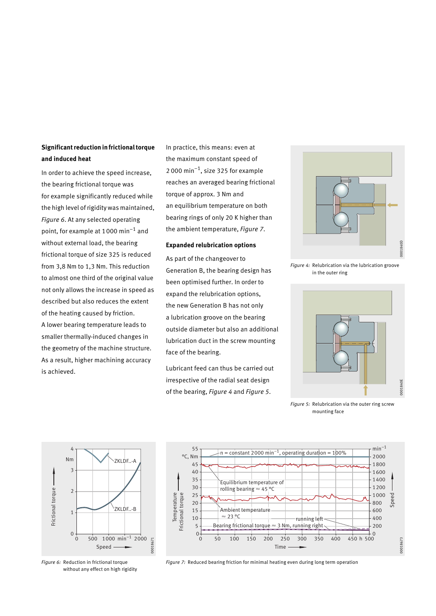# **Significant reduction in frictional torque and induced heat**

In order to achieve the speed increase, the bearing frictional torque was for example significantly reduced while the high level of rigidity was maintained, *Figure 6*. At any selected operating point, for example at 1000 min–1 and without external load, the bearing frictional torque of size 325 is reduced from 3,8 Nm to 1,3 Nm. This reduction to almost one third of the original value not only allows the increase in speed as described but also reduces the extent of the heating caused by friction. A lower bearing temperature leads to smaller thermally-induced changes in the geometry of the machine structure. As a result, higher machining accuracy is achieved.

In practice, this means: even at the maximum constant speed of 2 000 min<sup>-1</sup>, size 325 for example reaches an averaged bearing frictional torque of approx. 3 Nm and an equilibrium temperature on both bearing rings of only 20 K higher than the ambient temperature, *Figure 7*.

#### **Expanded relubrication options**

As part of the changeover to Generation B, the bearing design has been optimised further. In order to expand the relubrication options, the new Generation B has not only a lubrication groove on the bearing outside diameter but also an additional lubrication duct in the screw mounting face of the bearing.

Lubricant feed can thus be carried out irrespective of the radial seat design of the bearing, *Figure 4* and *Figure 5*.



*Figure 4:* Relubrication via the lubrication groove in the outer ring



*Figure 5:* Relubrication via the outer ring screw mounting face



*Figure 6:* Reduction in frictional torque without any effect on high rigidity



*Figure 7:* Reduced bearing friction for minimal heating even during long term operation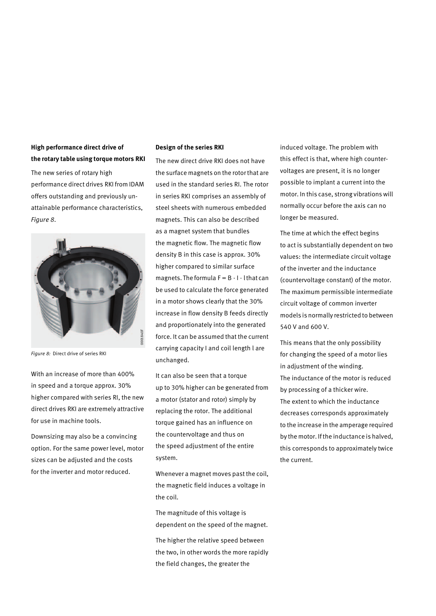# **High performance direct drive of the rotary table using torque motors RKI**

The new series of rotary high performance direct drives RKI from IDAM offers outstanding and previously unattainable performance characteristics, *Figure 8*.



*Figure 8:* Direct drive of series RKI

With an increase of more than 400% in speed and a torque approx. 30% higher compared with series RI, the new direct drives RKI are extremely attractive for use in machine tools.

Downsizing may also be a convincing option. For the same power level, motor sizes can be adjusted and the costs for the inverter and motor reduced.

#### **Design of the series RKI**

The new direct drive RKI does not have the surface magnets on the rotor that are used in the standard series RI. The rotor in series RKI comprises an assembly of steel sheets with numerous embedded magnets. This can also be described as a magnet system that bundles the magnetic flow. The magnetic flow density B in this case is approx. 30% higher compared to similar surface magnets. The formula  $F = B \cdot 1 \cdot 1$  that can be used to calculate the force generated in a motor shows clearly that the 30% increase in flow density B feeds directly and proportionately into the generated force. It can be assumed that the current carrying capacity I and coil length l are unchanged.

It can also be seen that a torque up to 30% higher can be generated from a motor (stator and rotor) simply by replacing the rotor. The additional torque gained has an influence on the countervoltage and thus on the speed adjustment of the entire system.

Whenever a magnet moves past the coil, the magnetic field induces a voltage in the coil.

The magnitude of this voltage is dependent on the speed of the magnet.

The higher the relative speed between the two, in other words the more rapidly the field changes, the greater the

induced voltage. The problem with this effect is that, where high countervoltages are present, it is no longer possible to implant a current into the motor. In this case, strong vibrations will normally occur before the axis can no longer be measured.

The time at which the effect begins to act is substantially dependent on two values: the intermediate circuit voltage of the inverter and the inductance (countervoltage constant) of the motor. The maximum permissible intermediate circuit voltage of common inverter models is normally restricted to between 540 V and 600 V.

This means that the only possibility for changing the speed of a motor lies in adjustment of the winding. The inductance of the motor is reduced by processing of a thicker wire. The extent to which the inductance decreases corresponds approximately to the increase in the amperage required by the motor. If the inductance is halved, this corresponds to approximately twice the current.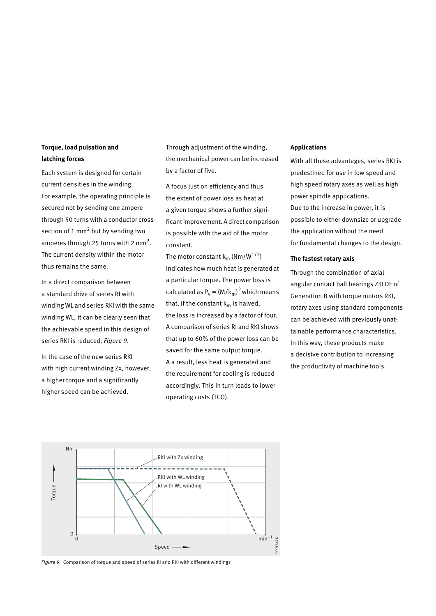# **Torque, load pulsation and latching forces**

Each system is designed for certain current densities in the winding. For example, the operating principle is secured not by sending one ampere through 50 turns with a conductor crosssection of 1  $mm<sup>2</sup>$  but by sending two amperes through 25 turns with 2 mm2. The current density within the motor thus remains the same.

In a direct comparison between a standard drive of series RI with winding WL and series RKI with the same winding WL, it can be clearly seen that the achievable speed in this design of series RKI is reduced, *Figure 9*.

In the case of the new series RKI with high current winding Zx, however, a higher torque and a significantly higher speed can be achieved.

Through adjustment of the winding, the mechanical power can be increased by a factor of five.

A focus just on efficiency and thus the extent of power loss as heat at a given torque shows a further significant improvement. A direct comparison is possible with the aid of the motor constant.

The motor constant  $k_m$  (Nm/W<sup>1/2</sup>) indicates how much heat is generated at a particular torque. The power loss is calculated as  $P_v = (M/k_m)^2$  which means that, if the constant  $k_m$  is halved, the loss is increased by a factor of four. A comparison of series RI and RKI shows that up to 60% of the power loss can be saved for the same output torque. A a result, less heat is generated and the requirement for cooling is reduced accordingly. This in turn leads to lower operating costs (TCO).

#### **Applications**

With all these advantages, series RKI is predestined for use in low speed and high speed rotary axes as well as high power spindle applications. Due to the increase in power, it is possible to either downsize or upgrade the application without the need for fundamental changes to the design.

#### **The fastest rotary axis**

Through the combination of axial angular contact ball bearings ZKLDF of Generation B with torque motors RKI, rotary axes using standard components can be achieved with previously unattainable performance characteristics. In this way, these products make a decisive contribution to increasing the productivity of machine tools.



*Figure 9:* Comparison of torque and speed of series RI and RKI with different windings